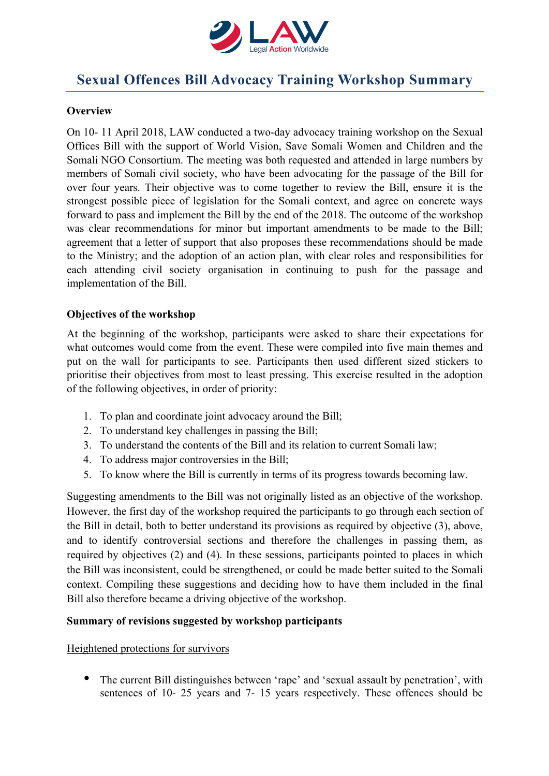

# **Sexual Offences Bill Advocacy Training Workshop Summary**

# **Overview**

On 10- 11 April 2018, LAW conducted a two-day advocacy training workshop on the Sexual Offices Bill with the support of World Vision, Save Somali Women and Children and the Somali NGO Consortium. The meeting was both requested and attended in large numbers by members of Somali civil society, who have been advocating for the passage of the Bill for over four years. Their objective was to come together to review the Bill, ensure it is the strongest possible piece of legislation for the Somali context, and agree on concrete ways forward to pass and implement the Bill by the end of the 2018. The outcome of the workshop was clear recommendations for minor but important amendments to be made to the Bill; agreement that a letter of support that also proposes these recommendations should be made to the Ministry; and the adoption of an action plan, with clear roles and responsibilities for each attending civil society organisation in continuing to push for the passage and implementation of the Bill.

## **Objectives of the workshop**

At the beginning of the workshop, participants were asked to share their expectations for what outcomes would come from the event. These were compiled into five main themes and put on the wall for participants to see. Participants then used different sized stickers to prioritise their objectives from most to least pressing. This exercise resulted in the adoption of the following objectives, in order of priority:

- 1. To plan and coordinate joint advocacy around the Bill;
- 2. To understand key challenges in passing the Bill;
- 3. To understand the contents of the Bill and its relation to current Somali law;
- 4. To address major controversies in the Bill;
- 5. To know where the Bill is currently in terms of its progress towards becoming law.

Suggesting amendments to the Bill was not originally listed as an objective of the workshop. However, the first day of the workshop required the participants to go through each section of the Bill in detail, both to better understand its provisions as required by objective (3), above, and to identify controversial sections and therefore the challenges in passing them, as required by objectives (2) and (4). In these sessions, participants pointed to places in which the Bill was inconsistent, could be strengthened, or could be made better suited to the Somali context. Compiling these suggestions and deciding how to have them included in the final Bill also therefore became a driving objective of the workshop.

#### **Summary of revisions suggested by workshop participants**

Heightened protections for survivors

• The current Bill distinguishes between 'rape' and 'sexual assault by penetration', with sentences of 10- 25 years and 7- 15 years respectively. These offences should be